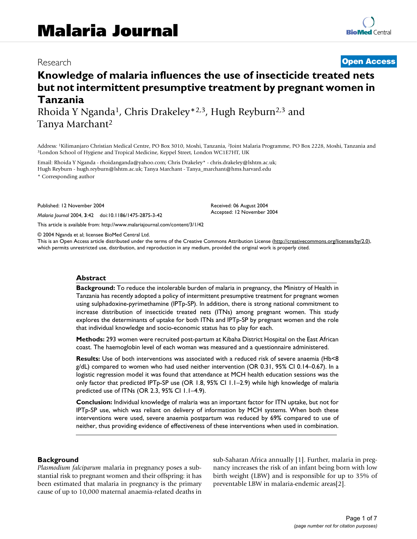# Research **[Open Access](http://www.biomedcentral.com/info/about/charter/)**

# **Knowledge of malaria influences the use of insecticide treated nets but not intermittent presumptive treatment by pregnant women in Tanzania**

Rhoida Y Nganda<sup>1</sup>, Chris Drakeley<sup>\*2,3</sup>, Hugh Reyburn<sup>2,3</sup> and Tanya Marchant2

Address: <sup>1</sup>Kilimanjaro Christian Medical Centre, PO Box 3010, Moshi, Tanzania, <sup>2</sup>Joint Malaria Programme, PO Box 2228, Moshi, Tanzania and <sup>3</sup>London School of Hygiene and Tropical Medicine, Keppel Street, London WC1E7HT,

Email: Rhoida Y Nganda - rhoidanganda@yahoo.com; Chris Drakeley\* - chris.drakeley@lshtm.ac.uk; Hugh Reyburn - hugh.reyburn@lshtm.ac.uk; Tanya Marchant - Tanya\_marchant@hms.harvard.edu

\* Corresponding author

Published: 12 November 2004

*Malaria Journal* 2004, **3**:42 doi:10.1186/1475-2875-3-42

[This article is available from: http://www.malariajournal.com/content/3/1/42](http://www.malariajournal.com/content/3/1/42)

© 2004 Nganda et al; licensee BioMed Central Ltd.

This is an Open Access article distributed under the terms of the Creative Commons Attribution License [\(http://creativecommons.org/licenses/by/2.0\)](http://creativecommons.org/licenses/by/2.0), which permits unrestricted use, distribution, and reproduction in any medium, provided the original work is properly cited.

Received: 06 August 2004 Accepted: 12 November 2004

#### **Abstract**

**Background:** To reduce the intolerable burden of malaria in pregnancy, the Ministry of Health in Tanzania has recently adopted a policy of intermittent presumptive treatment for pregnant women using sulphadoxine-pyrimethamine (IPTp-SP). In addition, there is strong national commitment to increase distribution of insecticide treated nets (ITNs) among pregnant women. This study explores the determinants of uptake for both ITNs and IPTp-SP by pregnant women and the role that individual knowledge and socio-economic status has to play for each.

**Methods:** 293 women were recruited post-partum at Kibaha District Hospital on the East African coast. The haemoglobin level of each woman was measured and a questionnaire administered.

**Results:** Use of both interventions was associated with a reduced risk of severe anaemia (Hb<8 g/dL) compared to women who had used neither intervention (OR 0.31, 95% CI 0.14–0.67). In a logistic regression model it was found that attendance at MCH health education sessions was the only factor that predicted IPTp-SP use (OR 1.8, 95% CI 1.1–2.9) while high knowledge of malaria predicted use of ITNs (OR 2.3, 95% CI 1.1–4.9).

**Conclusion:** Individual knowledge of malaria was an important factor for ITN uptake, but not for IPTp-SP use, which was reliant on delivery of information by MCH systems. When both these interventions were used, severe anaemia postpartum was reduced by 69% compared to use of neither, thus providing evidence of effectiveness of these interventions when used in combination.

### **Background**

*Plasmodium falciparum* malaria in pregnancy poses a substantial risk to pregnant women and their offspring: it has been estimated that malaria in pregnancy is the primary cause of up to 10,000 maternal anaemia-related deaths in sub-Saharan Africa annually [1]. Further, malaria in pregnancy increases the risk of an infant being born with low birth weight (LBW) and is responsible for up to 35% of preventable LBW in malaria-endemic areas[2].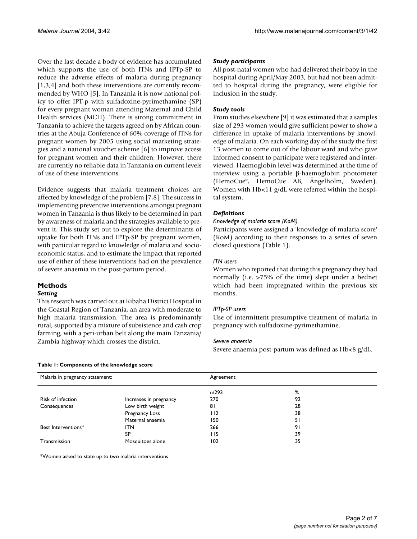Over the last decade a body of evidence has accumulated which supports the use of both ITNs and IPTp-SP to reduce the adverse effects of malaria during pregnancy [1,3,4] and both these interventions are currently recommended by WHO [[5](#page-6-0)]. In Tanzania it is now national policy to offer IPT-p with sulfadoxine-pyrimethamine (SP) for every pregnant woman attending Maternal and Child Health services (MCH). There is strong commitment in Tanzania to achieve the targets agreed on by African countries at the Abuja Conference of 60% coverage of ITNs for pregnant women by 2005 using social marketing strategies and a national voucher scheme [6] to improve access for pregnant women and their children. However, there are currently no reliable data in Tanzania on current levels of use of these interventions.

Evidence suggests that malaria treatment choices are affected by knowledge of the problem [7,8]. The success in implementing preventive interventions amongst pregnant women in Tanzania is thus likely to be determined in part by awareness of malaria and the strategies available to prevent it. This study set out to explore the determinants of uptake for both ITNs and IPTp-SP by pregnant women, with particular regard to knowledge of malaria and socioeconomic status, and to estimate the impact that reported use of either of these interventions had on the prevalence of severe anaemia in the post-partum period.

# **Methods**

# *Setting*

This research was carried out at Kibaha District Hospital in the Coastal Region of Tanzania, an area with moderate to high malaria transmission. The area is predominantly rural, supported by a mixture of subsistence and cash crop farming, with a peri-urban belt along the main Tanzania/ Zambia highway which crosses the district.

# *Study participants*

All post-natal women who had delivered their baby in the hospital during April/May 2003, but had not been admitted to hospital during the pregnancy, were eligible for inclusion in the study.

# *Study tools*

From studies elsewhere [9] it was estimated that a samples size of 293 women would give sufficient power to show a difference in uptake of malaria interventions by knowledge of malaria. On each working day of the study the first 13 women to come out of the labour ward and who gave informed consent to participate were registered and interviewed. Haemoglobin level was determined at the time of interview using a portable β-haemoglobin photometer (HemoCue©, HemoCue AB, Ängelholm, Sweden). Women with Hb<11 g/dL were referred within the hospital system.

# *Definitions*

# *Knowledge of malaria score (KoM)*

Participants were assigned a 'knowledge of malaria score' (KoM) according to their responses to a series of seven closed questions (Table [1\)](#page-1-0).

# *ITN users*

Women who reported that during this pregnancy they had normally (i.e. >75% of the time) slept under a bednet which had been impregnated within the previous six months.

# *IPTp-SP users*

Use of intermittent presumptive treatment of malaria in pregnancy with sulfadoxine-pyrimethamine.

### *Severe anaemia*

Severe anaemia post-partum was defined as Hb<8 g/dL.

<span id="page-1-0"></span>

|  | Table 1: Components of the knowledge score |  |  |  |
|--|--------------------------------------------|--|--|--|
|  |                                            |  |  |  |

| Malaria in pregnancy statement: |                        | Agreement |    |  |  |  |
|---------------------------------|------------------------|-----------|----|--|--|--|
|                                 |                        | n/293     | %  |  |  |  |
| Risk of infection               | Increases in pregnancy | 270       | 92 |  |  |  |
| Consequences                    | Low birth weight       | 81        | 28 |  |  |  |
|                                 | Pregnancy Loss         | 112       | 38 |  |  |  |
|                                 | Maternal anaemia       | 150       | 51 |  |  |  |
| Best Interventions*             | ITN                    | 266       | 91 |  |  |  |
|                                 | SP                     | 115       | 39 |  |  |  |
| Transmission                    | Mosquitoes alone       | 102       | 35 |  |  |  |

\*Women asked to state up to two malaria interventions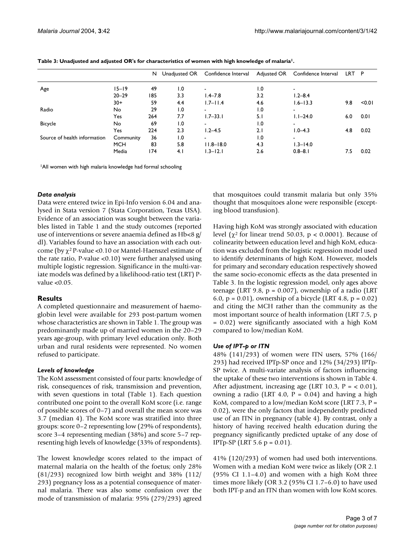|                              |            | N   |     | Unadjusted OR Confidence Interval |     | Adjusted OR Confidence Interval | LRT P |        |
|------------------------------|------------|-----|-----|-----------------------------------|-----|---------------------------------|-------|--------|
| Age                          | $15 - 19$  | 49  | 1.0 | $\blacksquare$                    | 1.0 | $\blacksquare$                  |       |        |
|                              | $20 - 29$  | 185 | 3.3 | $1.4 - 7.8$                       | 3.2 | $1.2 - 8.4$                     |       |        |
|                              | $30+$      | 59  | 4.4 | $1.7 - 11.4$                      | 4.6 | $1.6 - 13.3$                    | 9.8   | < 0.01 |
| Radio                        | No.        | 29  | 1.0 | $\overline{\phantom{0}}$          | 1.0 | $\blacksquare$                  |       |        |
|                              | Yes        | 264 | 7.7 | $1.7 - 33.1$                      | 5.1 | $1.1 - 24.0$                    | 6.0   | 0.01   |
| Bicycle                      | No.        | 69  | 1.0 | ۰.                                | 1.0 | $\blacksquare$                  |       |        |
|                              | Yes        | 224 | 2.3 | $1.2 - 4.5$                       | 2.1 | $1.0 - 4.3$                     | 4.8   | 0.02   |
| Source of health information | Community  | 36  | 1.0 | $\overline{\phantom{0}}$          | 1.0 | $\blacksquare$                  |       |        |
|                              | <b>MCH</b> | 83  | 5.8 | $11.8 - 18.0$                     | 4.3 | $1.3 - 14.0$                    |       |        |
|                              | Media      | 174 | 4.1 | $1.3 - 12.1$                      | 2.6 | $0.8 - 8.1$                     | 7.5   | 0.02   |

<span id="page-2-0"></span>**Table 3: Unadjusted and adjusted OR's for characteristics of women with high knowledge of malaria1.**

1All women with high malaria knowledge had formal schooling

### *Data analysis*

Data were entered twice in Epi-Info version 6.04 and analysed in Stata version 7 (Stata Corporation, Texas USA). Evidence of an association was sought between the variables listed in Table [1](#page-1-0) and the study outcomes (reported use of interventions or severe anaemia defined as Hb<8 g/ dl). Variables found to have an association with each outcome (by χ2 P-value <0.10 or Mantel-Haenszel estimate of the rate ratio, P-value <0.10) were further analysed using multiple logistic regression. Significance in the multi-variate models was defined by a likelihood-ratio test (LRT) Pvalue <0.05.

# **Results**

A completed questionnaire and measurement of haemoglobin level were available for 293 post-partum women whose characteristics are shown in Table [1](#page-1-0). The group was predominantly made up of married women in the 20–29 years age-group, with primary level education only. Both urban and rural residents were represented. No women refused to participate.

# *Levels of knowledge*

The KoM assessment consisted of four parts: knowledge of risk, consequences of risk, transmission and prevention, with seven questions in total (Table [1](#page-1-0)). Each question contributed one point to the overall KoM score (i.e. range of possible scores of 0–7) and overall the mean score was 3.7 (median 4). The KoM score was stratified into three groups: score 0–2 representing low (29% of respondents), score 3–4 representing median (38%) and score 5–7 representing high levels of knowledge (33% of respondents).

The lowest knowledge scores related to the impact of maternal malaria on the health of the foetus; only 28% (81/293) recognized low birth weight and 38% (112/ 293) pregnancy loss as a potential consequence of maternal malaria. There was also some confusion over the mode of transmission of malaria: 95% (279/293) agreed

that mosquitoes could transmit malaria but only 35% thought that mosquitoes alone were responsible (excepting blood transfusion).

Having high KoM was strongly associated with education level ( $χ²$  for linear trend 50.03,  $p < 0.0001$ ). Because of colinearity between education level and high KoM, education was excluded from the logistic regression model used to identify determinants of high KoM. However, models for primary and secondary education respectively showed the same socio-economic effects as the data presented in Table [3](#page-2-0). In the logistic regression model, only ages above teenage (LRT 9.8,  $p = 0.007$ ), ownership of a radio (LRT 6.0,  $p = 0.01$ ), ownership of a bicycle (LRT 4.8,  $p = 0.02$ ) and citing the MCH rather than the community as the most important source of health information (LRT 7.5, p = 0.02) were significantly associated with a high KoM compared to low/median KoM.

# *Use of IPT-p or ITN*

48% (141/293) of women were ITN users, 57% (166/ 293) had received IPTp-SP once and 12% (34/293) IPTp-SP twice. A multi-variate analysis of factors influencing the uptake of these two interventions is shown in Table [4.](#page-3-0) After adjustment, increasing age (LRT 10.3,  $P = < 0.01$ ), owning a radio (LRT 4.0,  $P = 0.04$ ) and having a high KoM, compared to a low/median KoM score (LRT 7.3,  $P =$ 0.02), were the only factors that independently predicted use of an ITN in pregnancy (table [4](#page-3-0)). By contrast, only a history of having received health education during the pregnancy significantly predicted uptake of any dose of IPTp-SP (LRT 5.6  $p = 0.01$ ).

41% (120/293) of women had used both interventions. Women with a median KoM were twice as likely (OR 2.1 (95% CI 1.1–4.0) and women with a high KoM three times more likely (OR 3.2 (95% CI 1.7–6.0) to have used both IPT-p and an ITN than women with low KoM scores.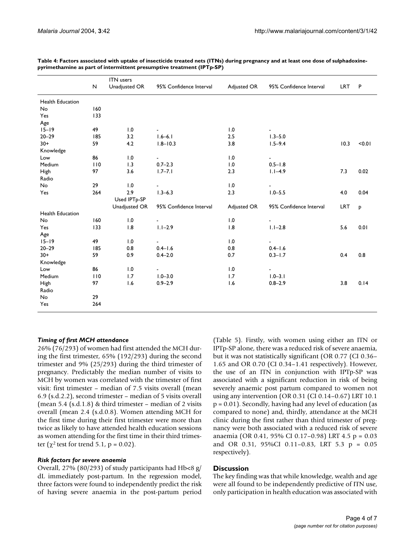|                         |              | ITN users     |                          |             |                         |            |        |
|-------------------------|--------------|---------------|--------------------------|-------------|-------------------------|------------|--------|
|                         | $\mathsf{N}$ | Unadjusted OR | 95% Confidence Interval  | Adjusted OR | 95% Confidence Interval | <b>LRT</b> | P      |
| <b>Health Education</b> |              |               |                          |             |                         |            |        |
| No                      | 160          |               |                          |             |                         |            |        |
| Yes                     | 133          |               |                          |             |                         |            |        |
| Age                     |              |               |                          |             |                         |            |        |
| $15 - 19$               | 49           | 1.0           | $\blacksquare$           | 1.0         | $\blacksquare$          |            |        |
| $20 - 29$               | 185          | 3.2           | $1.6 - 6.1$              | 2.5         | $1.3 - 5.0$             |            |        |
| $30+$                   | 59           | 4.2           | $1.8 - 10.3$             | 3.8         | $1.5 - 9.4$             | 10.3       | < 0.01 |
| Knowledge               |              |               |                          |             |                         |            |        |
| Low                     | 86           | 1.0           | $\overline{\phantom{a}}$ | 1.0         | $\blacksquare$          |            |        |
| Medium                  | 110          | 1.3           | $0.7 - 2.3$              | 1.0         | $0.5 - 1.8$             |            |        |
| High                    | 97           | 3.6           | $1.7 - 7.1$              | 2.3         | $1.1 - 4.9$             | 7.3        | 0.02   |
| Radio                   |              |               |                          |             |                         |            |        |
| No                      | 29           | 1.0           |                          | 1.0         |                         |            |        |
| Yes                     | 264          | 2.9           | $1.3 - 6.3$              | 2.3         | $1.0 - 5.5$             | 4.0        | 0.04   |
|                         |              | Used IPTp-SP  |                          |             |                         |            |        |
|                         |              | Unadjusted OR | 95% Confidence Interval  | Adjusted OR | 95% Confidence Interval | <b>LRT</b> | p      |
| <b>Health Education</b> |              |               |                          |             |                         |            |        |
| No                      | 160          | 1.0           |                          | 1.0         |                         |            |        |
| Yes                     | 133          | 1.8           | $1.1 - 2.9$              | 1.8         | $1.1 - 2.8$             | 5.6        | 0.01   |
| Age                     |              |               |                          |             |                         |            |        |
| $15 - 19$               | 49           | 1.0           | $\blacksquare$           | 1.0         | $\blacksquare$          |            |        |
| $20 - 29$               | 185          | 0.8           | $0.4 - 1.6$              | 0.8         | $0.4 - 1.6$             |            |        |
| $30+$                   | 59           | 0.9           | $0.4 - 2.0$              | 0.7         | $0.3 - 1.7$             | 0.4        | 0.8    |
| Knowledge               |              |               |                          |             |                         |            |        |
| Low                     | 86           | 1.0           | $\blacksquare$           | 1.0         | $\blacksquare$          |            |        |
| Medium                  | 110          | 1.7           | $1.0 - 3.0$              | 1.7         | $1.0 - 3.1$             |            |        |
| High                    | 97           | 1.6           | $0.9 - 2.9$              | 1.6         | $0.8 - 2.9$             | 3.8        | 0.14   |
| Radio                   |              |               |                          |             |                         |            |        |
| No                      | 29           |               |                          |             |                         |            |        |
| Yes                     | 264          |               |                          |             |                         |            |        |

<span id="page-3-0"></span>**Table 4: Factors associated with uptake of insecticide treated nets (ITNs) during pregnancy and at least one dose of sulphadoxinepyrimethamine as part of intermittent presumptive treatment (IPTp-SP)**

# *Timing of first MCH attendance*

26% (76/293) of women had first attended the MCH during the first trimester, 65% (192/293) during the second trimester and 9% (25/293) during the third trimester of pregnancy. Predictably the median number of visits to MCH by women was correlated with the trimester of first visit: first trimester – median of 7.5 visits overall (mean 6.9 (s.d.2.2), second trimester – median of 5 visits overall (mean 5.4 (s.d.1.8) & third trimester – median of 2 visits overall (mean 2.4 (s.d.0.8). Women attending MCH for the first time during their first trimester were more than twice as likely to have attended health education sessions as women attending for the first time in their third trimester ( $\chi^2$  test for trend 5.1, p = 0.02).

# *Risk factors for severe anaemia*

Overall, 27% (80/293) of study participants had Hb<8 g/ dL immediately post-partum. In the regression model, three factors were found to independently predict the risk of having severe anaemia in the post-partum period (Table [5\)](#page-4-0). Firstly, with women using either an ITN or IPTp-SP alone, there was a reduced risk of severe anaemia, but it was not statistically significant (OR 0.77 (CI 0.36– 1.65 and OR 0.70 (CI 0.34–1.41 respectively). However, the use of an ITN in conjunction with IPTp-SP was associated with a significant reduction in risk of being severely anaemic post partum compared to women not using any intervention (OR 0.31 (CI 0.14–0.67) LRT 10.1 p = 0.01). Secondly, having had any level of education (as compared to none) and, thirdly, attendance at the MCH clinic during the first rather than third trimester of pregnancy were both associated with a reduced risk of severe anaemia (OR 0.41, 95% CI 0.17–0.98) LRT 4.5 p = 0.03 and OR 0.31, 95%CI 0.11–0.83, LRT 5.3 p = 0.05 respectively).

# **Discussion**

The key finding was that while knowledge, wealth and age were all found to be independently predictive of ITN use, only participation in health education was associated with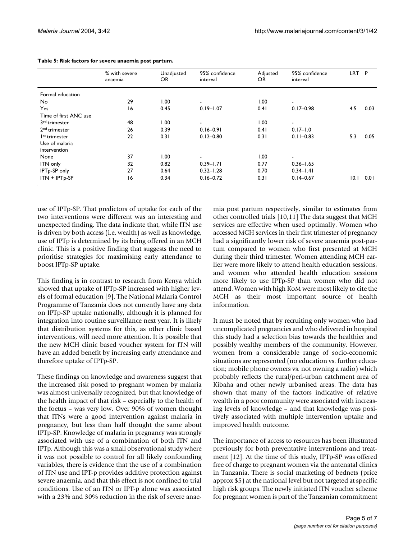|                                | % with severe<br>anaemia | Unadjusted<br><b>OR</b> | 95% confidence<br>interval | Adjusted<br>OR. | 95% confidence<br>interval | LRT P |      |
|--------------------------------|--------------------------|-------------------------|----------------------------|-----------------|----------------------------|-------|------|
| Formal education               |                          |                         |                            |                 |                            |       |      |
| No.                            | 29                       | 1.00                    |                            | 1.00            |                            |       |      |
| Yes                            | 16                       | 0.45                    | $0.19 - 1.07$              | 0.41            | $0.17 - 0.98$              | 4.5   | 0.03 |
| Time of first ANC use          |                          |                         |                            |                 |                            |       |      |
| 3rd trimester                  | 48                       | 1.00                    |                            | 1.00            | $\blacksquare$             |       |      |
| 2 <sup>nd</sup> trimester      | 26                       | 0.39                    | $0.16 - 0.91$              | 0.41            | $0.17 - 1.0$               |       |      |
| I <sup>st</sup> trimester      | 22                       | 0.31                    | $0.12 - 0.80$              | 0.31            | $0.11 - 0.83$              | 5.3   | 0.05 |
| Use of malaria<br>intervention |                          |                         |                            |                 |                            |       |      |
| None                           | 37                       | 1.00                    |                            | 1.00            | $\overline{\phantom{a}}$   |       |      |
| ITN only                       | 32                       | 0.82                    | $0.39 - 1.71$              | 0.77            | $0.36 - 1.65$              |       |      |
| IPTp-SP only                   | 27                       | 0.64                    | $0.32 - 1.28$              | 0.70            | $0.34 - 1.41$              |       |      |
| $ITN + IPTp$ -SP               | 16                       | 0.34                    | $0.16 - 0.72$              | 0.31            | $0.14 - 0.67$              | 10.1  | 0.01 |

<span id="page-4-0"></span>**Table 5: Risk factors for severe anaemia post partum.**

use of IPTp-SP. That predictors of uptake for each of the two interventions were different was an interesting and unexpected finding. The data indicate that, while ITN use is driven by both access (i.e. wealth) as well as knowledge, use of IPTp is determined by its being offered in an MCH clinic. This is a positive finding that suggests the need to prioritise strategies for maximising early attendance to boost IPTp-SP uptake.

This finding is in contrast to research from Kenya which showed that uptake of IPTp-SP increased with higher levels of formal education [9]. The National Malaria Control Programme of Tanzania does not currently have any data on IPTp-SP uptake nationally, although it is planned for integration into routine surveillance next year. It is likely that distribution systems for this, as other clinic based interventions, will need more attention. It is possible that the new MCH clinic based voucher system for ITN will have an added benefit by increasing early attendance and therefore uptake of IPTp-SP.

These findings on knowledge and awareness suggest that the increased risk posed to pregnant women by malaria was almost universally recognized, but that knowledge of the health impact of that risk – especially to the health of the foetus – was very low. Over 90% of women thought that ITNs were a good intervention against malaria in pregnancy, but less than half thought the same about IPTp-SP. Knowledge of malaria in pregnancy was strongly associated with use of a combination of both ITN and IPTp. Although this was a small observational study where it was not possible to control for all likely confounding variables, there is evidence that the use of a combination of ITN use and IPT-p provides additive protection against severe anaemia, and that this effect is not confined to trial conditions. Use of an ITN or IPT-p alone was associated with a 23% and 30% reduction in the risk of severe anaemia post partum respectively, similar to estimates from other controlled trials [10,11] The data suggest that MCH services are effective when used optimally. Women who accessed MCH services in their first trimester of pregnancy had a significantly lower risk of severe anaemia post-partum compared to women who first presented at MCH during their third trimester. Women attending MCH earlier were more likely to attend health education sessions, and women who attended health education sessions more likely to use IPTp-SP than women who did not attend. Women with high KoM were most likely to cite the MCH as their most important source of health information.

It must be noted that by recruiting only women who had uncomplicated pregnancies and who delivered in hospital this study had a selection bias towards the healthier and possibly wealthy members of the community. However, women from a considerable range of socio-economic situations are represented (no education vs. further education; mobile phone owners vs. not owning a radio) which probably reflects the rural/peri-urban catchment area of Kibaha and other newly urbanised areas. The data has shown that many of the factors indicative of relative wealth in a poor community were associated with increasing levels of knowledge – and that knowledge was positively associated with multiple intervention uptake and improved health outcome.

The importance of access to resources has been illustrated previously for both preventative interventions and treatment [12]. At the time of this study, IPTp-SP was offered free of charge to pregnant women via the antenatal clinics in Tanzania. There is social marketing of bednets (price approx \$5) at the national level but not targeted at specific high risk groups. The newly initiated ITN voucher scheme for pregnant women is part of the Tanzanian commitment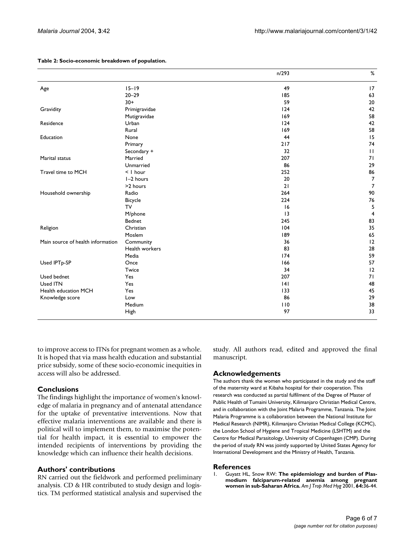|                                   |                | n/293 | %                |
|-----------------------------------|----------------|-------|------------------|
| Age                               | $15 - 19$      | 49    | 17               |
|                                   | $20 - 29$      | 185   | 63               |
|                                   | $30+$          | 59    | 20               |
| Gravidity                         | Primigravidae  | 124   | 42               |
|                                   | Mutigravidae   | 169   | 58               |
| Residence                         | Urban          | 124   | 42               |
|                                   | Rural          | 169   | 58               |
| Education                         | None           | 44    | 15               |
|                                   | Primary        | 217   | 74               |
|                                   | Secondary +    | 32    | $\mathbf{H}$     |
| Marital status                    | Married        | 207   | 71               |
|                                   | Unmarried      | 86    | 29               |
| Travel time to MCH                | $<$   hour     | 252   | 86               |
|                                   | I-2 hours      | 20    | 7                |
|                                   | >2 hours       | 21    | $\boldsymbol{7}$ |
| Household ownership               | Radio          | 264   | 90               |
|                                   | Bicycle        | 224   | ${\bf 76}$       |
|                                   | <b>TV</b>      | 16    | 5                |
|                                   | M/phone        | 3     | $\overline{4}$   |
|                                   | Bednet         | 245   | 83               |
| Religion                          | Christian      | 104   | 35               |
|                                   | Moslem         | 189   | 65               |
| Main source of health information | Community      | 36    | 12               |
|                                   | Health workers | 83    | 28               |
|                                   | Media          | 174   | 59               |
| Used IPTp-SP                      | Once           | 166   | 57               |
|                                   | Twice          | 34    | 12               |
| Used bednet                       | Yes            | 207   | 71               |
| Used ITN                          | Yes            | 4     | 48               |
| <b>Health education MCH</b>       | Yes            | 133   | 45               |
| Knowledge score                   | Low            | 86    | 29               |
|                                   | Medium         | 110   | 38               |
|                                   | High           | 97    | 33               |

#### **Table 2: Socio-economic breakdown of population.**

to improve access to ITNs for pregnant women as a whole. It is hoped that via mass health education and substantial price subsidy, some of these socio-economic inequities in access will also be addressed.

### **Conclusions**

The findings highlight the importance of women's knowledge of malaria in pregnancy and of antenatal attendance for the uptake of preventative interventions. Now that effective malaria interventions are available and there is political will to implement them, to maximise the potential for health impact, it is essential to empower the intended recipients of interventions by providing the knowledge which can influence their health decisions.

#### **Authors' contributions**

RN carried out the fieldwork and performed preliminary analysis. CD & HR contributed to study design and logistics. TM performed statistical analysis and supervised the study. All authors read, edited and approved the final manuscript.

#### **Acknowledgements**

The authors thank the women who participated in the study and the staff of the maternity ward at Kibaha hospital for their cooperation. This research was conducted as partial fulfilment of the Degree of Master of Public Health of Tumaini University, Kilimanjaro Christian Medical Centre, and in collaboration with the Joint Malaria Programme, Tanzania. The Joint Malaria Programme is a collaboration between the National Institute for Medical Research (NIMR), Kilimanjaro Christian Medical College (KCMC), the London School of Hygiene and Tropical Medicine (LSHTM) and the Centre for Medical Parasitology, University of Copenhagen (CMP). During the period of study RN was jointly supported by United States Agency for International Development and the Ministry of Health, Tanzania.

#### **References**

1. Guyatt HL, Snow RW: **[The epidemiology and burden of Plas](http://www.ncbi.nlm.nih.gov/entrez/query.fcgi?cmd=Retrieve&db=PubMed&dopt=Abstract&list_uids=11425176)[modium falciparum-related anemia among pregnant](http://www.ncbi.nlm.nih.gov/entrez/query.fcgi?cmd=Retrieve&db=PubMed&dopt=Abstract&list_uids=11425176) [women in sub-Saharan Africa.](http://www.ncbi.nlm.nih.gov/entrez/query.fcgi?cmd=Retrieve&db=PubMed&dopt=Abstract&list_uids=11425176)** *Am J Trop Med Hyg* 2001, **64:**36-44.